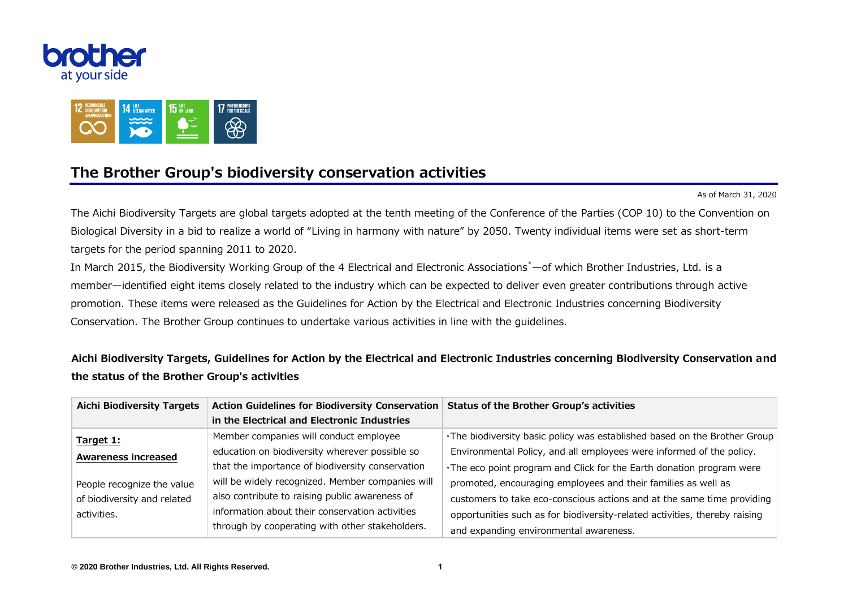



## **The Brother Group's biodiversity conservation activities**

As of March 31, 2020

The Aichi Biodiversity Targets are global targets adopted at the tenth meeting of the Conference of the Parties (COP 10) to the Convention on Biological Diversity in a bid to realize a world of "Living in harmony with nature" by 2050. Twenty individual items were set as short-term targets for the period spanning 2011 to 2020.

In March 2015, the Biodiversity Working Group of the 4 Electrical and Electronic Associations<sup>\*</sup>—of which Brother Industries, Ltd. is a member—identified eight items closely related to the industry which can be expected to deliver even greater contributions through active promotion. These items were released as the Guidelines for Action by the Electrical and Electronic Industries concerning Biodiversity Conservation. The Brother Group continues to undertake various activities in line with the guidelines.

**Aichi Biodiversity Targets, Guidelines for Action by the Electrical and Electronic Industries concerning Biodiversity Conservation and the status of the Brother Group's activities**

| <b>Aichi Biodiversity Targets</b> | Action Guidelines for Biodiversity Conservation  | <b>Status of the Brother Group's activities</b>                            |
|-----------------------------------|--------------------------------------------------|----------------------------------------------------------------------------|
|                                   | in the Electrical and Electronic Industries      |                                                                            |
| Target 1:                         | Member companies will conduct employee           | . The biodiversity basic policy was established based on the Brother Group |
| <b>Awareness increased</b>        | education on biodiversity wherever possible so   | Environmental Policy, and all employees were informed of the policy.       |
|                                   | that the importance of biodiversity conservation | . The eco point program and Click for the Earth donation program were      |
| People recognize the value        | will be widely recognized. Member companies will | promoted, encouraging employees and their families as well as              |
| of biodiversity and related       | also contribute to raising public awareness of   | customers to take eco-conscious actions and at the same time providing     |
| activities.                       | information about their conservation activities  | opportunities such as for biodiversity-related activities, thereby raising |
|                                   | through by cooperating with other stakeholders.  | and expanding environmental awareness.                                     |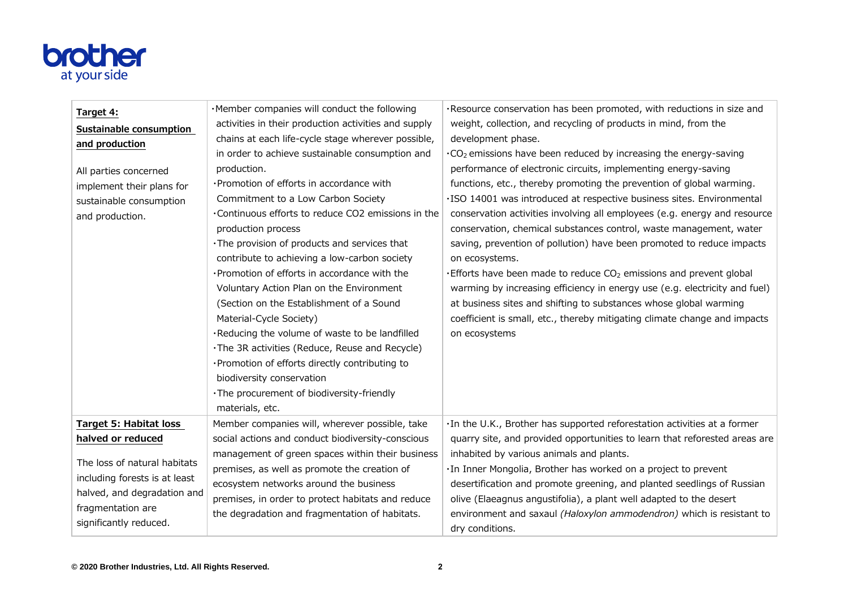

| Target 4:<br><b>Sustainable consumption</b><br>and production<br>All parties concerned<br>implement their plans for<br>sustainable consumption<br>and production. | . Member companies will conduct the following<br>activities in their production activities and supply<br>chains at each life-cycle stage wherever possible,<br>in order to achieve sustainable consumption and<br>production.<br>·Promotion of efforts in accordance with<br>Commitment to a Low Carbon Society<br>. Continuous efforts to reduce CO2 emissions in the<br>production process<br>·The provision of products and services that<br>contribute to achieving a low-carbon society<br>·Promotion of efforts in accordance with the<br>Voluntary Action Plan on the Environment<br>(Section on the Establishment of a Sound<br>Material-Cycle Society)<br>·Reducing the volume of waste to be landfilled<br>·The 3R activities (Reduce, Reuse and Recycle)<br>·Promotion of efforts directly contributing to | ·Resource conservation has been promoted, with reductions in size and<br>weight, collection, and recycling of products in mind, from the<br>development phase.<br>$\cdot$ CO <sub>2</sub> emissions have been reduced by increasing the energy-saving<br>performance of electronic circuits, implementing energy-saving<br>functions, etc., thereby promoting the prevention of global warming.<br>·ISO 14001 was introduced at respective business sites. Environmental<br>conservation activities involving all employees (e.g. energy and resource<br>conservation, chemical substances control, waste management, water<br>saving, prevention of pollution) have been promoted to reduce impacts<br>on ecosystems.<br>. Efforts have been made to reduce CO <sub>2</sub> emissions and prevent global<br>warming by increasing efficiency in energy use (e.g. electricity and fuel)<br>at business sites and shifting to substances whose global warming<br>coefficient is small, etc., thereby mitigating climate change and impacts<br>on ecosystems |
|-------------------------------------------------------------------------------------------------------------------------------------------------------------------|-----------------------------------------------------------------------------------------------------------------------------------------------------------------------------------------------------------------------------------------------------------------------------------------------------------------------------------------------------------------------------------------------------------------------------------------------------------------------------------------------------------------------------------------------------------------------------------------------------------------------------------------------------------------------------------------------------------------------------------------------------------------------------------------------------------------------|------------------------------------------------------------------------------------------------------------------------------------------------------------------------------------------------------------------------------------------------------------------------------------------------------------------------------------------------------------------------------------------------------------------------------------------------------------------------------------------------------------------------------------------------------------------------------------------------------------------------------------------------------------------------------------------------------------------------------------------------------------------------------------------------------------------------------------------------------------------------------------------------------------------------------------------------------------------------------------------------------------------------------------------------------------|
|                                                                                                                                                                   | biodiversity conservation<br>· The procurement of biodiversity-friendly<br>materials, etc.                                                                                                                                                                                                                                                                                                                                                                                                                                                                                                                                                                                                                                                                                                                            |                                                                                                                                                                                                                                                                                                                                                                                                                                                                                                                                                                                                                                                                                                                                                                                                                                                                                                                                                                                                                                                            |
| Target 5: Habitat loss                                                                                                                                            | Member companies will, wherever possible, take                                                                                                                                                                                                                                                                                                                                                                                                                                                                                                                                                                                                                                                                                                                                                                        | · In the U.K., Brother has supported reforestation activities at a former                                                                                                                                                                                                                                                                                                                                                                                                                                                                                                                                                                                                                                                                                                                                                                                                                                                                                                                                                                                  |
| halved or reduced                                                                                                                                                 | social actions and conduct biodiversity-conscious                                                                                                                                                                                                                                                                                                                                                                                                                                                                                                                                                                                                                                                                                                                                                                     | quarry site, and provided opportunities to learn that reforested areas are                                                                                                                                                                                                                                                                                                                                                                                                                                                                                                                                                                                                                                                                                                                                                                                                                                                                                                                                                                                 |
| The loss of natural habitats<br>including forests is at least<br>halved, and degradation and<br>fragmentation are<br>significantly reduced.                       | management of green spaces within their business<br>premises, as well as promote the creation of<br>ecosystem networks around the business<br>premises, in order to protect habitats and reduce<br>the degradation and fragmentation of habitats.                                                                                                                                                                                                                                                                                                                                                                                                                                                                                                                                                                     | inhabited by various animals and plants.<br>· In Inner Mongolia, Brother has worked on a project to prevent<br>desertification and promote greening, and planted seedlings of Russian<br>olive (Elaeagnus angustifolia), a plant well adapted to the desert<br>environment and saxaul (Haloxylon ammodendron) which is resistant to<br>dry conditions.                                                                                                                                                                                                                                                                                                                                                                                                                                                                                                                                                                                                                                                                                                     |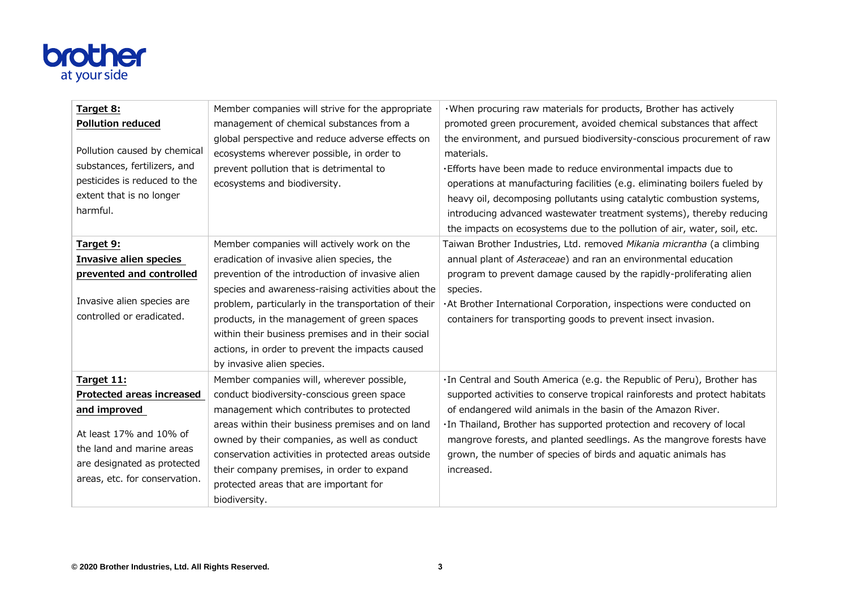

| Target 8:                     | Member companies will strive for the appropriate     | · When procuring raw materials for products, Brother has actively          |
|-------------------------------|------------------------------------------------------|----------------------------------------------------------------------------|
| <b>Pollution reduced</b>      | management of chemical substances from a             | promoted green procurement, avoided chemical substances that affect        |
|                               | global perspective and reduce adverse effects on     | the environment, and pursued biodiversity-conscious procurement of raw     |
| Pollution caused by chemical  | ecosystems wherever possible, in order to            | materials.                                                                 |
| substances, fertilizers, and  | prevent pollution that is detrimental to             | . Efforts have been made to reduce environmental impacts due to            |
| pesticides is reduced to the  | ecosystems and biodiversity.                         | operations at manufacturing facilities (e.g. eliminating boilers fueled by |
| extent that is no longer      |                                                      | heavy oil, decomposing pollutants using catalytic combustion systems,      |
| harmful.                      |                                                      | introducing advanced wastewater treatment systems), thereby reducing       |
|                               |                                                      | the impacts on ecosystems due to the pollution of air, water, soil, etc.   |
| Target 9:                     | Member companies will actively work on the           | Taiwan Brother Industries, Ltd. removed Mikania micrantha (a climbing      |
| <b>Invasive alien species</b> | eradication of invasive alien species, the           | annual plant of Asteraceae) and ran an environmental education             |
| prevented and controlled      | prevention of the introduction of invasive alien     | program to prevent damage caused by the rapidly-proliferating alien        |
|                               | species and awareness-raising activities about the   | species.                                                                   |
| Invasive alien species are    | problem, particularly in the transportation of their | · At Brother International Corporation, inspections were conducted on      |
| controlled or eradicated.     | products, in the management of green spaces          | containers for transporting goods to prevent insect invasion.              |
|                               | within their business premises and in their social   |                                                                            |
|                               | actions, in order to prevent the impacts caused      |                                                                            |
|                               | by invasive alien species.                           |                                                                            |
| Target 11:                    | Member companies will, wherever possible,            | . In Central and South America (e.g. the Republic of Peru), Brother has    |
| Protected areas increased     | conduct biodiversity-conscious green space           | supported activities to conserve tropical rainforests and protect habitats |
|                               |                                                      |                                                                            |
| and improved                  | management which contributes to protected            | of endangered wild animals in the basin of the Amazon River.               |
| At least 17% and 10% of       | areas within their business premises and on land     | . In Thailand, Brother has supported protection and recovery of local      |
| the land and marine areas     | owned by their companies, as well as conduct         | mangrove forests, and planted seedlings. As the mangrove forests have      |
| are designated as protected   | conservation activities in protected areas outside   | grown, the number of species of birds and aquatic animals has              |
| areas, etc. for conservation. | their company premises, in order to expand           | increased.                                                                 |
|                               | protected areas that are important for               |                                                                            |
|                               | biodiversity.                                        |                                                                            |